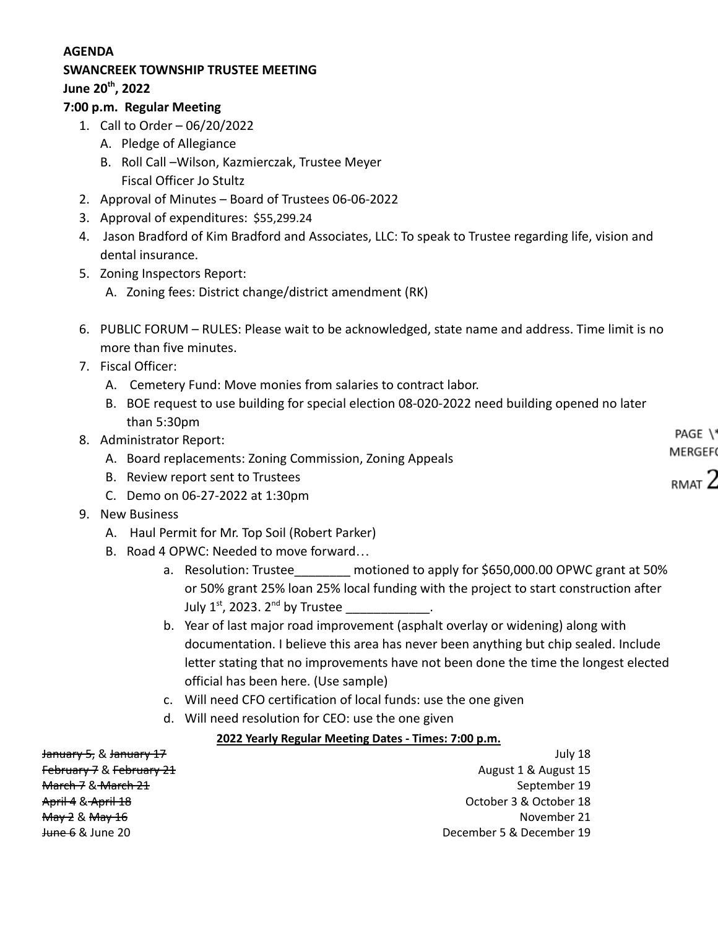#### **AGENDA**

# **SWANCREEK TOWNSHIP TRUSTEE MEETING**

**June 20th , 2022**

#### **7:00 p.m. Regular Meeting**

- 1. Call to Order 06/20/2022
	- A. Pledge of Allegiance
	- B. Roll Call –Wilson, Kazmierczak, Trustee Meyer Fiscal Officer Jo Stultz
- 2. Approval of Minutes Board of Trustees 06-06-2022
- 3. Approval of expenditures: \$55,299.24
- 4. Jason Bradford of Kim Bradford and Associates, LLC: To speak to Trustee regarding life, vision and dental insurance.
- 5. Zoning Inspectors Report:
	- A. Zoning fees: District change/district amendment (RK)
- 6. PUBLIC FORUM RULES: Please wait to be acknowledged, state name and address. Time limit is no more than five minutes.
- 7. Fiscal Officer:
	- A. Cemetery Fund: Move monies from salaries to contract labor.
	- B. BOE request to use building for special election 08-020-2022 need building opened no later than 5:30pm
- 8. Administrator Report:
	- A. Board replacements: Zoning Commission, Zoning Appeals
	- B. Review report sent to Trustees
	- C. Demo on 06-27-2022 at 1:30pm
- 9. New Business
	- A. Haul Permit for Mr. Top Soil (Robert Parker)
	- B. Road 4 OPWC: Needed to move forward…
		- a. Resolution: Trustee\_\_\_\_\_\_\_\_ motioned to apply for \$650,000.00 OPWC grant at 50% or 50% grant 25% loan 25% local funding with the project to start construction after July 1<sup>st</sup>, 2023. 2<sup>nd</sup> by Trustee \_\_\_\_\_\_\_\_\_\_\_\_\_\_.
		- b. Year of last major road improvement (asphalt overlay or widening) along with documentation. I believe this area has never been anything but chip sealed. Include letter stating that no improvements have not been done the time the longest elected official has been here. (Use sample)
		- c. Will need CFO certification of local funds: use the one given
		- d. Will need resolution for CEO: use the one given

### **2022 Yearly Regular Meeting Dates - Times: 7:00 p.m.**

January 5, & January 17 July 18 February 7 & February 21 August 15 August 15 **March 7 & March 21 September 19** September 19 April 4 & April 18 October 3 & October 18 May 2 & May 16 November 21 June 6 & June 20 December 5 & December 19

PAGE \' MERGEF

 $R$  mat  $2$